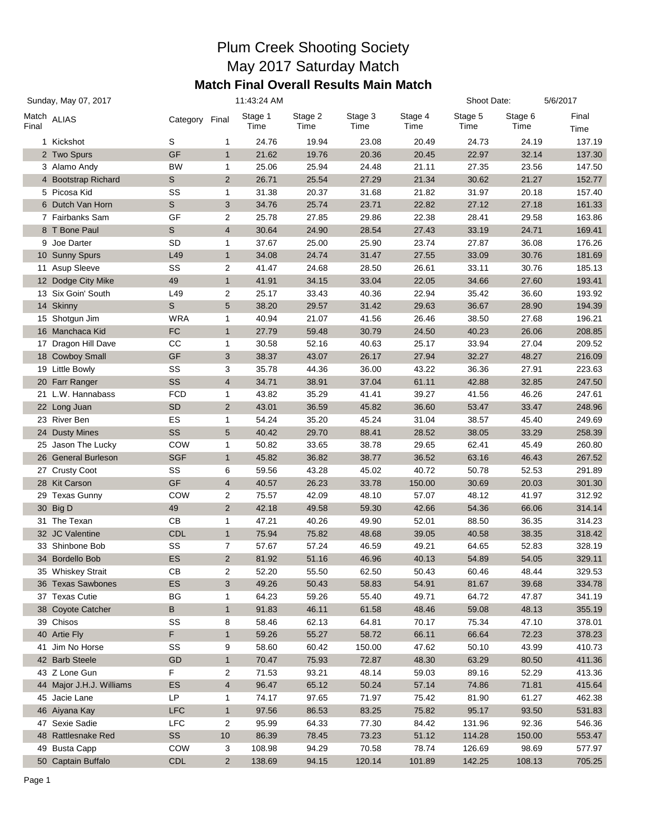## Plum Creek Shooting Society May 2017 Saturday Match **Match Final Overall Results Main Match**

| Sunday, May 07, 2017 |                                     | 11:43:24 AM    |                         |                  |                 |                 |                 | Shoot Date:      |                 | 5/6/2017         |
|----------------------|-------------------------------------|----------------|-------------------------|------------------|-----------------|-----------------|-----------------|------------------|-----------------|------------------|
| Final                | Match ALIAS                         | Category Final |                         | Stage 1<br>Time  | Stage 2<br>Time | Stage 3<br>Time | Stage 4<br>Time | Stage 5<br>Time  | Stage 6<br>Time | Final<br>Time    |
|                      | 1 Kickshot                          | S              | 1                       | 24.76            | 19.94           | 23.08           | 20.49           | 24.73            | 24.19           | 137.19           |
|                      | 2 Two Spurs                         | GF             | $\mathbf{1}$            | 21.62            | 19.76           | 20.36           | 20.45           | 22.97            | 32.14           | 137.30           |
|                      | 3 Alamo Andy                        | <b>BW</b>      | 1                       | 25.06            | 25.94           | 24.48           | 21.11           | 27.35            | 23.56           | 147.50           |
|                      | 4 Bootstrap Richard                 | $\mathsf{s}$   | 2                       | 26.71            | 25.54           | 27.29           | 21.34           | 30.62            | 21.27           | 152.77           |
|                      | 5 Picosa Kid                        | SS             | 1                       | 31.38            | 20.37           | 31.68           | 21.82           | 31.97            | 20.18           | 157.40           |
|                      | 6 Dutch Van Horn                    | $\mathsf S$    | 3                       | 34.76            | 25.74           | 23.71           | 22.82           | 27.12            | 27.18           | 161.33           |
|                      | 7 Fairbanks Sam                     | GF             | $\overline{\mathbf{c}}$ | 25.78            | 27.85           | 29.86           | 22.38           | 28.41            | 29.58           | 163.86           |
|                      | 8 T Bone Paul                       | $\mathsf S$    | $\overline{4}$          | 30.64            | 24.90           | 28.54           | 27.43           | 33.19            | 24.71           | 169.41           |
|                      | 9 Joe Darter                        | <b>SD</b>      | 1                       | 37.67            | 25.00           | 25.90           | 23.74           | 27.87            | 36.08           | 176.26           |
|                      | 10 Sunny Spurs                      | L49            | $\mathbf{1}$            | 34.08            | 24.74           | 31.47           | 27.55           | 33.09            | 30.76           | 181.69           |
|                      | 11 Asup Sleeve                      | SS             | $\overline{\mathbf{c}}$ | 41.47            | 24.68           | 28.50           | 26.61           | 33.11            | 30.76           | 185.13           |
|                      | 12 Dodge City Mike                  | 49             | $\mathbf{1}$            | 41.91            | 34.15           | 33.04           | 22.05           | 34.66            | 27.60           | 193.41           |
|                      | 13 Six Goin' South                  | L49            | $\overline{\mathbf{c}}$ | 25.17            | 33.43           | 40.36           | 22.94           | 35.42            | 36.60           | 193.92           |
|                      | 14 Skinny                           | $\mathsf S$    | 5                       | 38.20            | 29.57           | 31.42           | 29.63           | 36.67            | 28.90           | 194.39           |
|                      | 15 Shotgun Jim                      | <b>WRA</b>     | 1                       | 40.94            | 21.07           | 41.56           | 26.46           | 38.50            | 27.68           | 196.21           |
|                      | 16 Manchaca Kid                     | FC             | $\mathbf{1}$            | 27.79            | 59.48           | 30.79           | 24.50           | 40.23            | 26.06           | 208.85           |
|                      | 17 Dragon Hill Dave                 | CC             | 1                       | 30.58            | 52.16           | 40.63           | 25.17           | 33.94            | 27.04           | 209.52           |
|                      | 18 Cowboy Small                     | GF             | 3                       | 38.37            | 43.07           | 26.17           | 27.94           | 32.27            | 48.27           | 216.09           |
|                      | 19 Little Bowly                     | SS             | 3                       | 35.78            | 44.36           | 36.00           | 43.22           | 36.36            | 27.91           | 223.63           |
|                      | 20 Farr Ranger                      | SS             | $\overline{4}$          | 34.71            | 38.91           | 37.04           | 61.11           | 42.88            | 32.85           | 247.50           |
|                      | 21 L.W. Hannabass                   | <b>FCD</b>     | 1                       | 43.82            | 35.29           | 41.41           | 39.27           | 41.56            | 46.26           | 247.61           |
|                      | 22 Long Juan                        | <b>SD</b>      | 2                       | 43.01            | 36.59           | 45.82           | 36.60           | 53.47            | 33.47           | 248.96           |
|                      | 23 River Ben                        | ES             | 1                       | 54.24            | 35.20           | 45.24           | 31.04           | 38.57            | 45.40           | 249.69           |
|                      | 24 Dusty Mines                      | SS             | 5                       | 40.42            | 29.70           | 88.41           | 28.52           | 38.05            | 33.29           | 258.39           |
|                      | 25 Jason The Lucky                  | COW            | 1                       | 50.82            | 33.65           | 38.78           | 29.65           | 62.41            | 45.49           | 260.80           |
|                      | 26 General Burleson                 | <b>SGF</b>     | $\mathbf{1}$            | 45.82            | 36.82           | 38.77           | 36.52           | 63.16            | 46.43           | 267.52           |
|                      | 27 Crusty Coot                      | SS             | 6                       | 59.56            | 43.28           | 45.02           | 40.72           | 50.78            | 52.53           | 291.89           |
|                      | 28 Kit Carson                       | GF             | $\overline{4}$          | 40.57            | 26.23           | 33.78           | 150.00          | 30.69            | 20.03           | 301.30           |
|                      | 29 Texas Gunny                      | COW            | 2                       | 75.57            | 42.09           | 48.10           | 57.07           | 48.12            | 41.97           | 312.92           |
|                      | 30 Big D                            | 49             | $\overline{2}$          | 42.18            | 49.58           | 59.30           | 42.66           | 54.36            | 66.06           | 314.14           |
|                      | 31 The Texan                        | CB             | 1                       | 47.21            | 40.26           | 49.90           | 52.01           | 88.50            | 36.35           | 314.23           |
|                      | 32 JC Valentine                     | <b>CDL</b>     | $\mathbf{1}$            | 75.94            | 75.82           | 48.68           | 39.05           | 40.58            | 38.35           | 318.42           |
|                      | 33 Shinbone Bob                     | SS             | $\overline{7}$          | 57.67            | 57.24           | 46.59           | 49.21           | 64.65            | 52.83           | 328.19           |
|                      | 34 Bordello Bob                     | ES             | $\overline{2}$          | 81.92            | 51.16           | 46.96           | 40.13           | 54.89            | 54.05           | 329.11           |
|                      | 35 Whiskey Strait                   | CB             | 2                       | 52.20            | 55.50           | 62.50           | 50.43           | 60.46            | 48.44           | 329.53           |
|                      | 36 Texas Sawbones                   | ES             | 3                       | 49.26            | 50.43           | 58.83           | 54.91           | 81.67            | 39.68           | 334.78           |
|                      | 37 Texas Cutie                      | BG             | 1                       | 64.23            | 59.26           | 55.40           | 49.71           | 64.72            | 47.87           | 341.19           |
|                      | 38 Coyote Catcher                   | В              | $\mathbf{1}$            | 91.83            | 46.11           | 61.58           | 48.46           | 59.08            | 48.13           | 355.19           |
|                      | 39 Chisos                           | SS             | 8                       | 58.46            | 62.13           | 64.81           | 70.17           | 75.34            | 47.10           | 378.01           |
|                      | 40 Artie Fly                        | F              | $\mathbf{1}$            | 59.26            | 55.27           | 58.72           | 66.11           | 66.64            | 72.23           | 378.23           |
|                      | 41 Jim No Horse                     | SS             | 9                       | 58.60            | 60.42           | 150.00          | 47.62           | 50.10            | 43.99           | 410.73           |
|                      | 42 Barb Steele                      | GD             | $\mathbf{1}$            | 70.47            | 75.93           | 72.87           | 48.30           | 63.29            | 80.50           | 411.36           |
|                      | 43 Z Lone Gun                       | F              | 2                       | 71.53            | 93.21           | 48.14           | 59.03           | 89.16            | 52.29           | 413.36           |
|                      | 44 Major J.H.J. Williams            | ES             | $\overline{4}$          | 96.47            | 65.12           | 50.24           | 57.14           | 74.86            | 71.81           | 415.64           |
|                      | 45 Jacie Lane                       | LP             | 1                       | 74.17            | 97.65           | 71.97           | 75.42           | 81.90            | 61.27           | 462.38           |
|                      |                                     | <b>LFC</b>     | $\mathbf{1}$            |                  |                 | 83.25           | 75.82           |                  |                 |                  |
|                      | 46 Aiyana Kay<br>47 Sexie Sadie     | <b>LFC</b>     |                         | 97.56            | 86.53           |                 |                 | 95.17            | 93.50<br>92.36  | 531.83           |
|                      | 48 Rattlesnake Red                  | SS             | 2                       | 95.99            | 64.33           | 77.30<br>73.23  | 84.42<br>51.12  | 131.96<br>114.28 |                 | 546.36           |
|                      |                                     | COW            | 10                      | 86.39            | 78.45           |                 | 78.74           | 126.69           | 150.00<br>98.69 | 553.47           |
|                      | 49 Busta Capp<br>50 Captain Buffalo | <b>CDL</b>     | 3<br>$\overline{2}$     | 108.98<br>138.69 | 94.29<br>94.15  | 70.58<br>120.14 | 101.89          | 142.25           | 108.13          | 577.97<br>705.25 |
|                      |                                     |                |                         |                  |                 |                 |                 |                  |                 |                  |